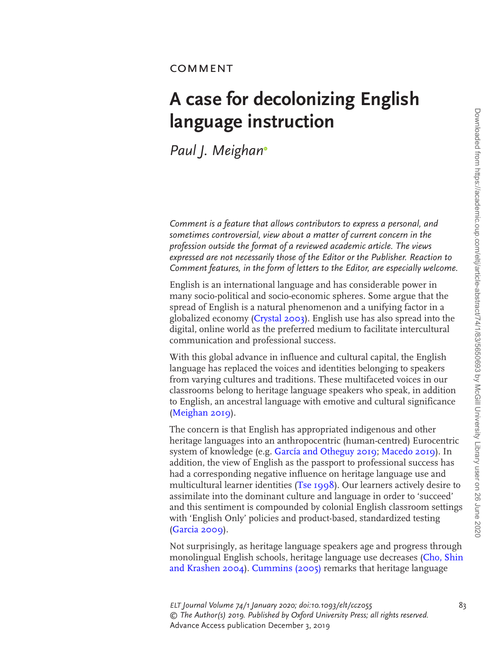## COMMENT

## **A case for decolonizing English language instruction**

*Paul J. Meigha[n](http://orcid.org/0000-0003-3473-913X)*

*Comment is a feature that allows contributors to express a personal, and sometimes controversial, view about a matter of current concern in the profession outside the format of a reviewed academic article. The views expressed are not necessarily those of the Editor or the Publisher. Reaction to Comment features, in the form of letters to the Editor, are especially welcome.*

English is an international language and has considerable power in many socio-political and socio-economic spheres. Some argue that the spread of English is a natural phenomenon and a unifying factor in a globalized economy [\(Crystal 2003](#page-2-0)). English use has also spread into the digital, online world as the preferred medium to facilitate intercultural communication and professional success.

With this global advance in influence and cultural capital, the English language has replaced the voices and identities belonging to speakers from varying cultures and traditions. These multifaceted voices in our classrooms belong to heritage language speakers who speak, in addition to English, an ancestral language with emotive and cultural significance [\(Meighan 2019](#page-2-1)).

The concern is that English has appropriated indigenous and other heritage languages into an anthropocentric (human-centred) Eurocentric system of knowledge (e.g. [García and Otheguy 2019](#page-2-2); [Macedo 2019](#page-2-3)). In addition, the view of English as the passport to professional success has had a corresponding negative influence on heritage language use and multicultural learner identities [\(Tse 1998](#page-2-4)). Our learners actively desire to assimilate into the dominant culture and language in order to 'succeed' and this sentiment is compounded by colonial English classroom settings with 'English Only' policies and product-based, standardized testing [\(Garcia 2009](#page-2-5)).

Not surprisingly, as heritage language speakers age and progress through monolingual English schools, heritage language use decreases [\(Cho, Shin](#page-2-6)  [and Krashen 2004\)](#page-2-6). [Cummins \(2005\)](#page-2-7) remarks that heritage language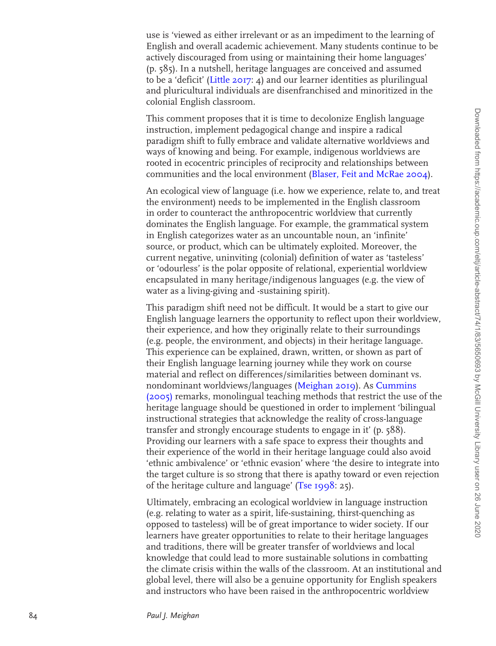use is 'viewed as either irrelevant or as an impediment to the learning of English and overall academic achievement. Many students continue to be actively discouraged from using or maintaining their home languages' (p. 585). In a nutshell, heritage languages are conceived and assumed to be a 'deficit' [\(Little 2017](#page-2-8): 4) and our learner identities as plurilingual and pluricultural individuals are disenfranchised and minoritized in the colonial English classroom.

This comment proposes that it is time to decolonize English language instruction, implement pedagogical change and inspire a radical paradigm shift to fully embrace and validate alternative worldviews and ways of knowing and being. For example, indigenous worldviews are rooted in ecocentric principles of reciprocity and relationships between communities and the local environment ([Blaser, Feit and McRae 2004](#page-2-9)).

An ecological view of language (i.e. how we experience, relate to, and treat the environment) needs to be implemented in the English classroom in order to counteract the anthropocentric worldview that currently dominates the English language. For example, the grammatical system in English categorizes water as an uncountable noun, an 'infinite' source, or product, which can be ultimately exploited. Moreover, the current negative, uninviting (colonial) definition of water as 'tasteless' or 'odourless' is the polar opposite of relational, experiential worldview encapsulated in many heritage/indigenous languages (e.g. the view of water as a living-giving and -sustaining spirit).

This paradigm shift need not be difficult. It would be a start to give our English language learners the opportunity to reflect upon their worldview, their experience, and how they originally relate to their surroundings (e.g. people, the environment, and objects) in their heritage language. This experience can be explained, drawn, written, or shown as part of their English language learning journey while they work on course material and reflect on differences/similarities between dominant vs. nondominant worldviews/languages [\(Meighan 2019](#page-2-1)). As [Cummins](#page-2-7)  [\(2005\)](#page-2-7) remarks, monolingual teaching methods that restrict the use of the heritage language should be questioned in order to implement 'bilingual instructional strategies that acknowledge the reality of cross-language transfer and strongly encourage students to engage in it' (p. 588). Providing our learners with a safe space to express their thoughts and their experience of the world in their heritage language could also avoid 'ethnic ambivalence' or 'ethnic evasion' where 'the desire to integrate into the target culture is so strong that there is apathy toward or even rejection of the heritage culture and language' ([Tse 1998](#page-2-4): 25).

Ultimately, embracing an ecological worldview in language instruction (e.g. relating to water as a spirit, life-sustaining, thirst-quenching as opposed to tasteless) will be of great importance to wider society. If our learners have greater opportunities to relate to their heritage languages and traditions, there will be greater transfer of worldviews and local knowledge that could lead to more sustainable solutions in combatting the climate crisis within the walls of the classroom. At an institutional and global level, there will also be a genuine opportunity for English speakers and instructors who have been raised in the anthropocentric worldview